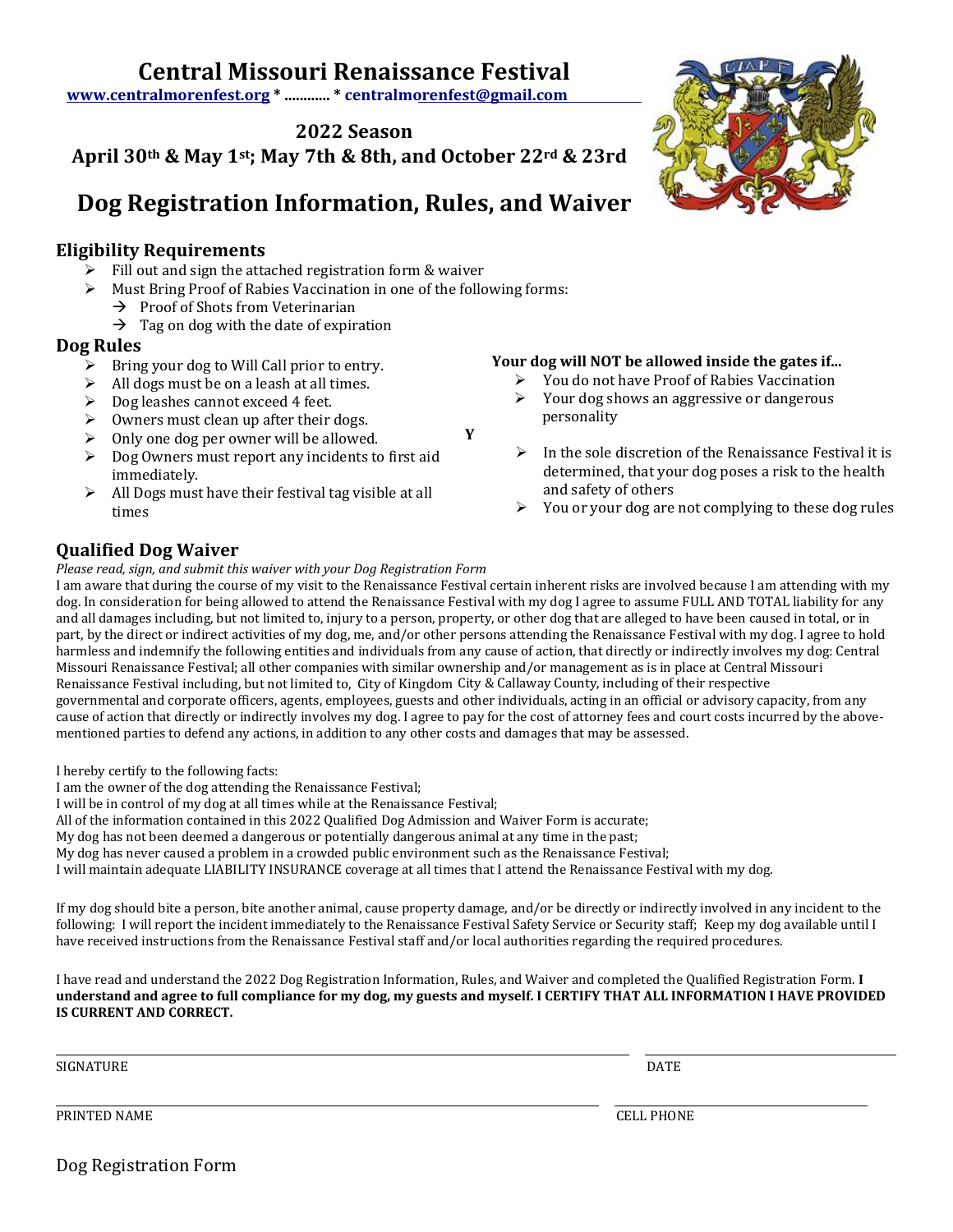## **Central Missouri Renaissance Festival**

**[www.centralmorenfest.org \\*](http://www.centralmorenfest.org/) ............ \* centralm[orenfest@gmail.com](mailto:centralmorenfest@gmail.com)**

**2022 Season**

## **April 30th & May 1st; May 7th & 8th, and October 22rd & 23rd**

## **Dog Registration Information, Rules, and Waiver**

#### **Eligibility Requirements**

- Fill out and sign the attached registration form & waiver
- ➢ Must Bring Proof of Rabies Vaccination in one of the following forms:
	- $\rightarrow$  Proof of Shots from Veterinarian
	- $\rightarrow$  Tag on dog with the date of expiration

#### **Dog Rules**

- $\triangleright$  Bring your dog to Will Call prior to entry.
- ➢ All dogs must be on a leash at all times.
- ➢ Dog leashes cannot exceed 4 feet.
- $\triangleright$  Owners must clean up after their dogs.
- $\triangleright$  Only one dog per owner will be allowed.
- ➢ Dog Owners must report any incidents to first aid immediately.
- $\triangleright$  All Dogs must have their festival tag visible at all times

#### **Your dog will NOT be allowed inside the gates if...**

- ➢ You do not have Proof of Rabies Vaccination  $\triangleright$  Your dog shows an aggressive or dangerous personality
- $\triangleright$  In the sole discretion of the Renaissance Festival it is determined, that your dog poses a risk to the health and safety of others
- $\triangleright$  You or your dog are not complying to these dog rules

### **Qualified Dog Waiver**

*Please read, sign, and submit this waiver with your Dog Registration Form*

I am aware that during the course of my visit to the Renaissance Festival certain inherent risks are involved because I am attending with my dog. In consideration for being allowed to attend the Renaissance Festival with my dog I agree to assume FULL AND TOTAL liability for any and all damages including, but not limited to, injury to a person, property, or other dog that are alleged to have been caused in total, or in part, by the direct or indirect activities of my dog, me, and/or other persons attending the Renaissance Festival with my dog. I agree to hold harmless and indemnify the following entities and individuals from any cause of action, that directly or indirectly involves my dog: Central Missouri Renaissance Festival; all other companies with similar ownership and/or management as is in place at Central Missouri Renaissance Festival including, but not limited to, City of Kingdom City & Callaway County, including of their respective governmental and corporate officers, agents, employees, guests and other individuals, acting in an official or advisory capacity, from any cause of action that directly or indirectly involves my dog. I agree to pay for the cost of attorney fees and court costs incurred by the abovementioned parties to defend any actions, in addition to any other costs and damages that may be assessed.

**Y**

I hereby certify to the following facts:

I am the owner of the dog attending the Renaissance Festival;

I will be in control of my dog at all times while at the Renaissance Festival;

All of the information contained in this 2022 Qualified Dog Admission and Waiver Form is accurate;

My dog has not been deemed a dangerous or potentially dangerous animal at any time in the past;

My dog has never caused a problem in a crowded public environment such as the Renaissance Festival;

I will maintain adequate LIABILITY INSURANCE coverage at all times that I attend the Renaissance Festival with my dog.

If my dog should bite a person, bite another animal, cause property damage, and/or be directly or indirectly involved in any incident to the following: I will report the incident immediately to the Renaissance Festival Safety Service or Security staff; Keep my dog available until I have received instructions from the Renaissance Festival staff and/or local authorities regarding the required procedures.

I have read and understand the 2022 Dog Registration Information, Rules, and Waiver and completed the Qualified Registration Form. **I understand and agree to full compliance for my dog, my guests and myself. I CERTIFY THAT ALL INFORMATION I HAVE PROVIDED IS CURRENT AND CORRECT.**

SIGNATURE DATE DATE OF A SERIES OF A SERIES OF A SERIES OF A SERIES OF A SERIES OF A SERIES OF A SERIES OF A S

 $\overline{\phantom{0}}$ 

 $\overline{\phantom{0}}$